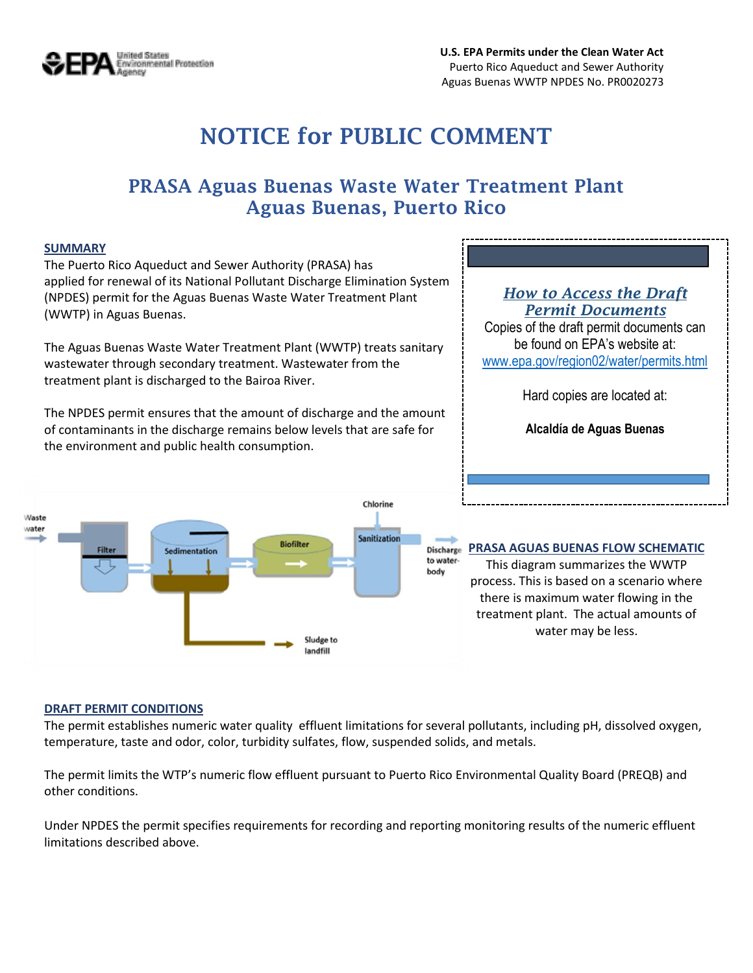

# **NOTICE for PUBLIC COMMENT**

# **PRASA Aguas Buenas Waste Water Treatment Plant Aguas Buenas, Puerto Rico**

#### **SUMMARY**

The Puerto Rico Aqueduct and Sewer Authority (PRASA) has applied for renewal of its National Pollutant Discharge Elimination System (NPDES) permit for the Aguas Buenas Waste Water Treatment Plant (WWTP) in Aguas Buenas.

The Aguas Buenas Waste Water Treatment Plant (WWTP) treats sanitary wastewater through secondary treatment. Wastewater from the treatment plant is discharged to the Bairoa River.

The NPDES permit ensures that the amount of discharge and the amount of contaminants in the discharge remains below levels that are safe for the environment and public health consumption.



#### *How to Access the Draft Permit Documents*

Copies of the draft permit documents can be found on EPA's website at: [www.epa.gov/region02/water/permits.html](http://www.epa.gov/region02/water/permits.html)

Hard copies are located at:

**Alcaldía de Aguas Buenas**

#### **PRASA AGUAS BUENAS FLOW SCHEMATIC**

This diagram summarizes the WWTP process. This is based on a scenario where there is maximum water flowing in the treatment plant. The actual amounts of water may be less.

#### **DRAFT PERMIT CONDITIONS**

The permit establishes numeric water quality effluent limitations for several pollutants, including pH, dissolved oxygen, temperature, taste and odor, color, turbidity sulfates, flow, suspended solids, and metals.

The permit limits the WTP's numeric flow effluent pursuant to Puerto Rico Environmental Quality Board (PREQB) and other conditions.

Under NPDES the permit specifies requirements for recording and reporting monitoring results of the numeric effluent limitations described above.